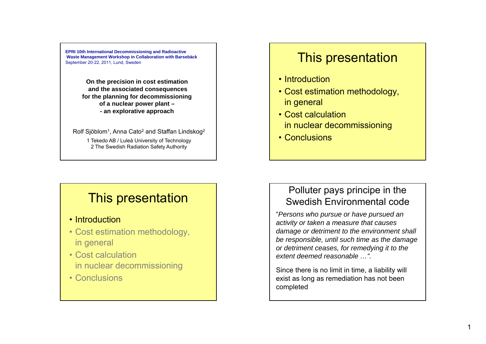**EPRI 10th International Decommissioning and Radioactive Waste Management Workshop in Collaboration with Barsebäck** September 20‐22, 2011, Lund, Sweden

> **On the precision in cost estimation and the associated consequences for the planning for decommissioning of a nuclear power plant – - an explorative approach**

Rolf Sjöblom<sup>1</sup>, Anna Cato<sup>2</sup> and Staffan Lindskog<sup>2</sup> 1 Tekedo AB / Luleå University of Technology

2 The Swedish Radiation Safety Authority

# This presentation

- Introduction
- Cost estimation methodology, in general
- Cost calculation in nuclear decommissioning
- Conclusions

# This presentation

- Introduction
- Cost estimation methodology, in general
- Cost calculation in nuclear decommissioning
- Conclusions

# Polluter pays principe in the Swedish Environmental code

"*Persons who pursue or have pursued an activity or taken <sup>a</sup> measure that causes damage or detriment to the environment shall be responsible, until such time as the damage or detriment ceases, for remedying it to the extent deemed reasonable …".* 

Since there is no limit in time, a liability will exist as long as remediation has not been completed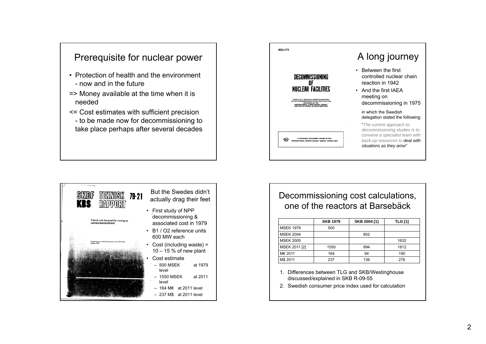

- Protection of health and the environment- now and in the future
- => Money available at the time when it is needed
- <= Cost estimates with sufficient precision - to be made now for decommissioning to take place perhaps after several decades





#### Decommissioning cost calculations, one of the reactors at Barsebäck

|                  | <b>SKB 1979</b> | SKB 2004 [1] | <b>TLG [1]</b> |
|------------------|-----------------|--------------|----------------|
| <b>MSEK 1979</b> | 500             |              |                |
| <b>MSEK 2004</b> |                 | 802          |                |
| <b>MSEK 2005</b> |                 |              | 1632           |
| MSEK 2011 [2]    | 1550            | 894          | 1812           |
| M€ 2011          | 164             | 94           | 190            |
| M\$ 2011         | 237             | 136          | 276            |

- 1. Differences between TLG and SKB/Westinghouse discussed/explained in SKB R-09-55
- 2. Swedish consumer price index used for calculation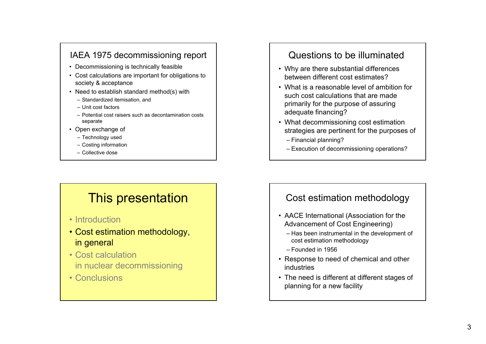## IAEA 1975 decommissioning report

- Decommissioning is technically feasible
- Cost calculations are important for obligations to society & acceptance
- Need to establish standard method(s) with
	- Standardized itemisation, and
	- Unit cost factors
	- Potential cost raisers such as decontamination costs separate
- Open exchange of
	- Technology used
	- Costing information
	- Collective dose

# This presentation

- Introduction
- Cost estimation methodology, in general
- Cost calculation in nuclear decommissioning
- Conclusions

# Questions to be illuminated

- Why are there substantial differences between different cost estimates?
- What is a reasonable level of ambition for such cost calculations that are made primarily for the purpose of assuring adequate financing?
- What decommissioning cost estimation strategies are pertinent for the purposes of
	- Financial planning?
	- Execution of decommissioning operations?

## Cost estimation methodology

- AACE International (Association for the Advancement of Cost Engineering)
	- Has been instrumental in the development of cost estimation methodology
	- Founded in 1956
- Response to need of chemical and other industries
- The need is different at different stages of planning for a new facility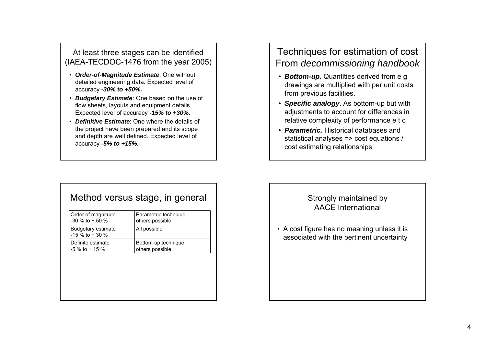#### At least three stages can be identified (IAEA-TECDOC-1476 from the year 2005)

- *Order-of-Magnitude Estimate*: One without detailed engineering data. Expected level of accuracy *-30% to +50%.*
- *Budgetary Estimate*: One based on the use of flow sheets, layouts and equipment details. Expected level of accuracy *-15% to +30%.*
- Definitive Estimate: One where the details of the project have been prepared and its scope and depth are well defined. Expected level of accuracy *-5% to +15%.*

# Techniques for estimation of cost From *decommissioning handbook*

- *Bottom-up.* Quantities derived from e g drawings are multiplied with per unit costs from previous facilities.
- *Specific analogy*. As bottom-up but with adjustments to account for differences in relative complexity of performance <sup>e</sup> t <sup>c</sup>
- *Parametric.* Historical databases and statistical analyses => cost equations / cost estimating relationships

#### Method versus stage, in general

| Order of magnitude<br>$-30\%$ to + 50 % | Parametric technique<br>others possible |
|-----------------------------------------|-----------------------------------------|
| Budgetary estimate<br>$-15\%$ to + 30 % | All possible                            |
| Definite estimate<br>$-5\%$ to + 15 %   | Bottom-up technique<br>others possible  |
|                                         |                                         |
|                                         |                                         |
|                                         |                                         |
|                                         |                                         |
|                                         |                                         |

#### Strongly maintained by AACE International

• A cost figure has no meaning unless it is associated with the pertinent uncertainty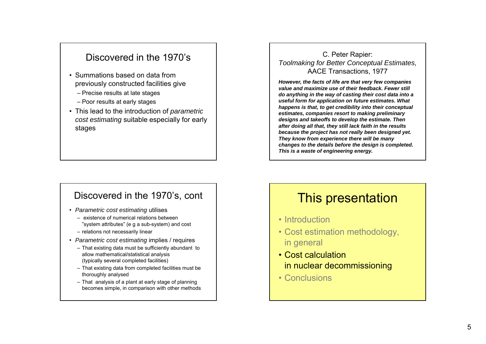## Discovered in the 1970's

- Summations based on data from previously constructed facilities give
	- Precise results at late stages
	- Poor results at early stages
- This lead to the introduction of *parametric cost estimating* suitable especially for early stages

#### Discovered in the 1970's, cont

- *Parametric cost estimating* utilises
	- existence of numerical relations between "system attributes" (e g a sub-system) and cost
	- relations not necessarily linear
- *Parametric cost estimating* implies / requires
	- That existing data must be sufficiently abundant to allow mathematical/statistical analysis (typically several completed facilities)
	- That existing data from completed facilities must be thoroughly analysed
	- That analysis of a plant at early stage of planning becomes simple, in comparison with other methods

C. Peter Rapier: *Toolmaking for Better Conceptual Estimates,* AACE Transactions, 1977

*However the facts of life are that very few companies However, of value and maximize use of their feedback. Fewer still do anything in the way of casting their cost data into a useful form for application on future estimates. What happens is that, to get credibility into their conceptual estimates, companies resort to making preliminary designs and takeoffs to develop the estimate. Then estimate. after doing all that, they still lack faith in the results because the project has not really been designed yet. They know from experience there will be many changes to the details before the design is completed. This is a waste of engineering energy.*

# This presentation

- Introduction
- Cost estimation methodology, in general
- Cost calculation in nuclear decommissioning
- Conclusions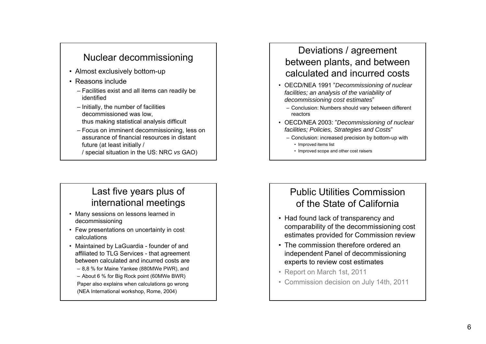# Nuclear decommissioning

- Almost exclusively bottom-up
- Reasons include
	- Facilities exist and all items can readily be identified
	- Initially, the number of facilities decommissioned was low, thus making statistical analysis difficult
	- Focus on imminent decommissioning, less on assurance of financial resources in distant future (at least initially / / special situation in the US: NRC *vs* GAO)

# Last five years plus of international meetings

- Many sessions on lessons learned in decommissioning
- Few presentations on uncertainty in cost calculations
- Maintained by LaGuardia founder of and affiliated to TLG Services - that agreement between calculated and incurred costs are
	- 8,8 % for Maine Yankee (880MWe PWR), and
	- About 6 % for Big Rock point (60MWe BWR)
	- Paper also explains when calculations go wrong (NEA International workshop, Rome, 2004)

# Deviations / agreement between plants, and between calculated and incurred costs

- OECD/NEA 1991 "*Decommissioning of nuclear facilities; an analysis of the variability of decommissioning cost estimates*"
	- Conclusion: Numbers should vary between different reactors
- OECD/NEA 2003 " 2003: *D iii f l Decommissioning of nuclear facilities; Policies, Strategies and Costs*"
	- Conclusion: increased precision by bottom-up with
		- Improved items list
		- Improved scope and other cost raisers

# Public Utilities Commission of the State of California

- Had found lack of transparency and comparability of the decommissioning cost estimates provided for Commission review
- The commission therefore ordered an independent Panel of decommissioning experts to review cost estimates
- Report on March 1st, 2011
- Commission decision on July 14th, 2011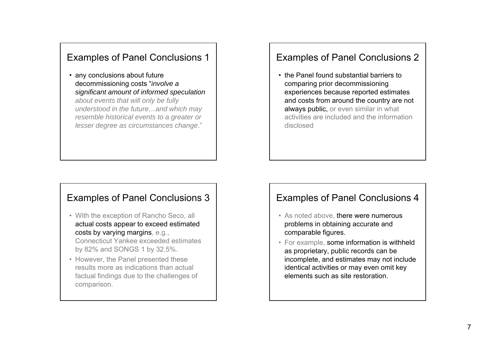## Examples of Panel Conclusions 1

• any conclusions about future d i i i t" decommissioning costs "*i l nvo ve a significant amount of informed speculation about events that will only be fully understood in the future…and which may resemble historical events to a greater or lesser degree as circumstances change*."

#### Examples of Panel Conclusions 3

- With the exception of Rancho Seco, all actual costs appear to exceed estimated costs by varying margins, e.g., Connecticut Yankee exceeded estimates
- by 82% and SONGS 1 by 32.5%. • However, the Panel presented these results more as indications than actual factual findings due to the challenges of

comparison.

#### Examples of Panel Conclusions 2

• the Panel found substantial barriers to comparing prior decommissioning experiences because reported estimates and costs from around the country are not always public, or even similar in what activities are included and the information disclosed

#### Examples of Panel Conclusions 4

- As noted above, there were numerous problems in obtaining accurate and comparable figures.
- For example, some information is withheld as proprietary, public records can be incomplete, and estimates may not include identical activities or may even omit key elements such as site restoration.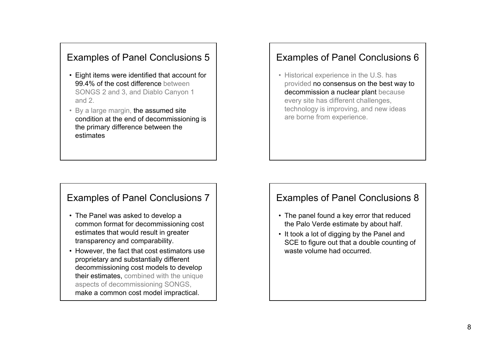# Examples of Panel Conclusions 5

- Eight items were identified that account for 99.4% of the cost difference between SONGS 2 and 3, and Diablo Canyon 1 and 2.
- By a large margin, the assumed site condition at the end of decommissioning is the primary difference between the estimates

#### Examples of Panel Conclusions 7

- The Panel was asked to develop a common format for decommissioning cost estimates that would result in greater transparency and comparability.
- However, the fact that cost estimators use proprietary and substantially different decommissioning cost models to develop their estimates, combined with the unique aspects of decommissioning SONGS, make a common cost model impractical.

#### Examples of Panel Conclusions 6

• Historical experience in the U.S. has provided no consensus on the best way to decommission a nuclear plant because every site has different challenges, technology is improving, and new ideas are borne from experience.

#### Examples of Panel Conclusions 8

- The panel found a key error that reduced the Palo Verde estimate by about half.
- It took a lot of digging by the Panel and SCE to figure out that a double counting of waste volume had occurred.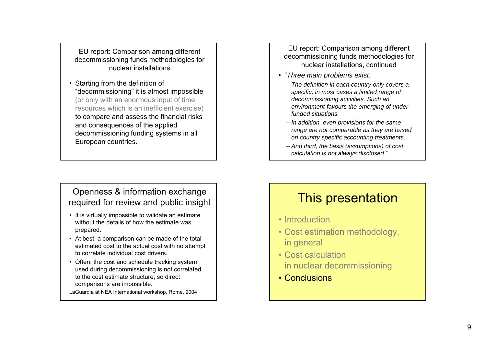EU report: Comparison among different decommissioning funds methodologies for nuclear installations

• Starting from the definition of "decommissioning" it is almost impossible (or only with an enormous input of time resources which is an inefficient exercise) to compare and assess the financial risks and consequences of the applied decommissioning funding systems in all European countries.

#### Openness & information exchange required for review and public insight

- It is virtually impossible to validate an estimate without the details of how the estimate was prepared.
- At best, a comparison can be made of the total estimated cost to the actual cost with no attempt to correlate individual cost drivers.
- Often, the cost and schedule tracking system used during decommissioning is not correlated to the cost estimate structure, so direct comparisons are impossible.

LaGuardia at NEA International workshop, Rome, 2004

EU report: Comparison among different decommissioning funds methodologies for nuclear installations, continued

- "*Three main problems exist:*
	- *The definition in each country only covers a specific, in most cases a limited range of decommissioning activities. Such an environment favours the emerging of under funded situations.*
	- *I dditi i i f th In addition, even provisions for the same range are not comparable as they are based on country specific accounting treatments.*
	- *And third, the basis (assumptions) of cost calculation is not always disclosed.*"

# This presentation

- Introduction
- Cost estimation methodology, in general
- Cost calculation in nuclear decommissioning
- Conclusions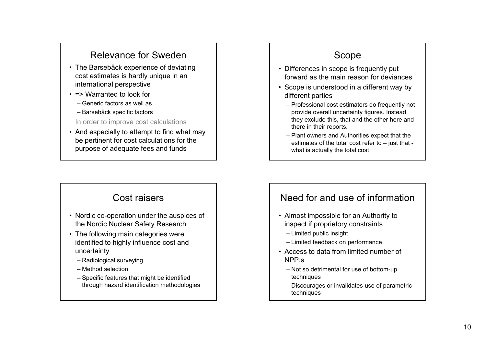# Relevance for Sweden

- The Barsebäck experience of deviating cost estimates is hardly unique in an international perspective
- => Warranted to look for
	- Generic factors as well as
	- Barsebäck specific factors

In order to improve cost calculations

• And especially to attempt to find what may be pertinent for cost calculations for the purpose of adequate fees and funds

## Cost raisers

- Nordic co-operation under the auspices of the Nordic Nuclear Safety Research
- The following main categories were identified to highly influence cost and uncertainty
	- Radiological surveying
	- Method selection
	- Specific features that might be identified through hazard identification methodologies

# Scope

- Differences in scope is frequently put forward as the main reason for deviances
- Scope is understood in a different way by different parties
	- Professional cost estimators do frequently not provide overall uncertainty figures. Instead, they exclude this, that and the other here and there in their reports.
	- Plant owners and Authorities expect that the estimates of the total cost refer to – just that what is actually the total cost

## Need for and use of information

- Almost impossible for an Authority to inspect if proprietory constraints
	- Limited public insight
	- Limited feedback on performance
- Access to data from limited number of NPP:s
	- Not so detrimental for use of bottom-up techniques
	- Discourages or invalidates use of parametric techniques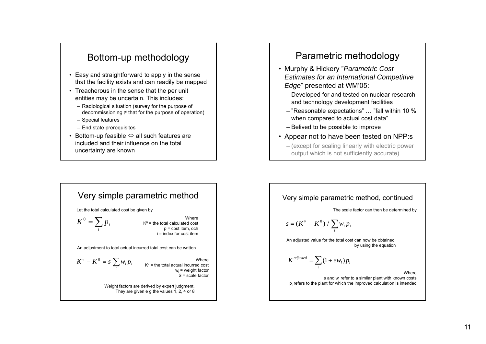# Bottom-up methodology

- Easy and straightforward to apply in the sense that the facility exists and can readily be mapped
- Treacherous in the sense that the per unit entities may be uncertain. This includes:
	- Radiological situation (survey for the purpose of decommissioning ≠ that for the purpose of operation)
	- Special features
	- End state prerequisites
- Bottom-up feasible  $\Leftrightarrow$  all such features are included and their influence on the total uncertainty are known

# Parametric methodology

- Murphy & Hickery "*Parametric Cost Estimates for an International Competitive Edge*" presented at WM'05:
	- Developed for and tested on nuclear research and technology development facilities
	- "Reasonable expectations" … "fall within 10 % when compared to actual cost data"
	- Belived to be possible to improve
- Appear not to have been tested on NPP:s
	- (except for scaling linearly with electric power output which is not sufficiently accurate)



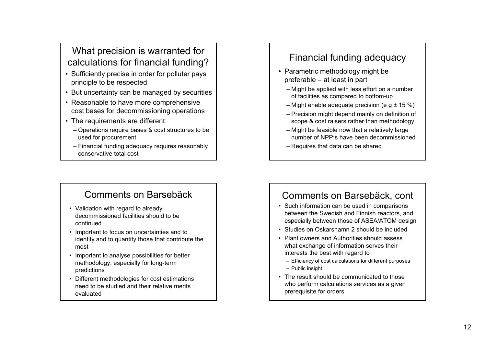# What precision is warranted for calculations for financial funding?

- Sufficiently precise in order for polluter pays principle to be respected
- But uncertainty can be managed by securities
- Reasonable to have more comprehensive cost bases for decommissioning operations
- The requirements are different:
	- Operations require bases & cost structures to be used for procurement
	- Financial funding adequacy requires reasonably conservative total cost

# Comments on Barsebäck

- Validation with regard to already decommissioned facilities should to be continued
- Important to focus on uncertainties and to identify and to quantify those that contribute the most
- Important to analyse possibilities for better methodology, especially for long-term predictions
- Different methodologies for cost estimations need to be studied and their relative merits evaluated

# Financial funding adequacy

- Parametric methodology might be preferable – at least in part
	- Might be applied with less effort on a number of facilities as compared to bottom-up
	- Might enable adequate precision (e g  $\pm$  15 %)
	- Precision might depend mainly on definition of scope & cost raisers rather than methodology
	- Might be feasible now that a relatively large number of NPP:s have been decommissioned
	- Requires that data can be shared

## Comments on Barsebäck, cont

- Such information can be used in comparisons between the Swedish and Finnish reactors, and especially between those of ASEA/ATOM design
- Studies on Oskarshamn 2 should be included
- Plant owners and Authorities should assess what exchange of information serves their interests the best with regard to
	- Efficiency of cost calculations for different purposes
	- Public insight
- The result should be communicated to those who perform calculations services as a given prerequisite for orders